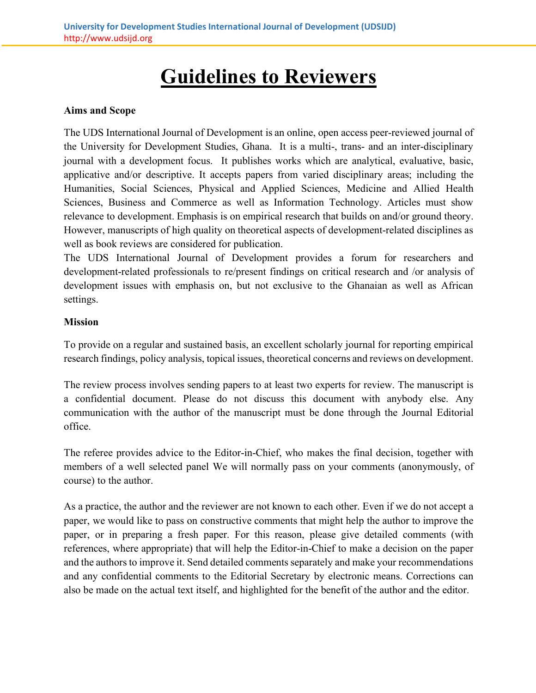# **Guidelines to Reviewers**

# **Aims and Scope**

The UDS International Journal of Development is an online, open access peer-reviewed journal of the University for Development Studies, Ghana. It is a multi-, trans- and an inter-disciplinary journal with a development focus. It publishes works which are analytical, evaluative, basic, applicative and/or descriptive. It accepts papers from varied disciplinary areas; including the Humanities, Social Sciences, Physical and Applied Sciences, Medicine and Allied Health Sciences, Business and Commerce as well as Information Technology. Articles must show relevance to development. Emphasis is on empirical research that builds on and/or ground theory. However, manuscripts of high quality on theoretical aspects of development-related disciplines as well as book reviews are considered for publication.

The UDS International Journal of Development provides a forum for researchers and development-related professionals to re/present findings on critical research and /or analysis of development issues with emphasis on, but not exclusive to the Ghanaian as well as African settings.

# **Mission**

To provide on a regular and sustained basis, an excellent scholarly journal for reporting empirical research findings, policy analysis, topical issues, theoretical concerns and reviews on development.

The review process involves sending papers to at least two experts for review. The manuscript is a confidential document. Please do not discuss this document with anybody else. Any communication with the author of the manuscript must be done through the Journal Editorial office.

The referee provides advice to the Editor-in-Chief, who makes the final decision, together with members of a well selected panel We will normally pass on your comments (anonymously, of course) to the author.

As a practice, the author and the reviewer are not known to each other. Even if we do not accept a paper, we would like to pass on constructive comments that might help the author to improve the paper, or in preparing a fresh paper. For this reason, please give detailed comments (with references, where appropriate) that will help the Editor-in-Chief to make a decision on the paper and the authors to improve it. Send detailed comments separately and make your recommendations and any confidential comments to the Editorial Secretary by electronic means. Corrections can also be made on the actual text itself, and highlighted for the benefit of the author and the editor.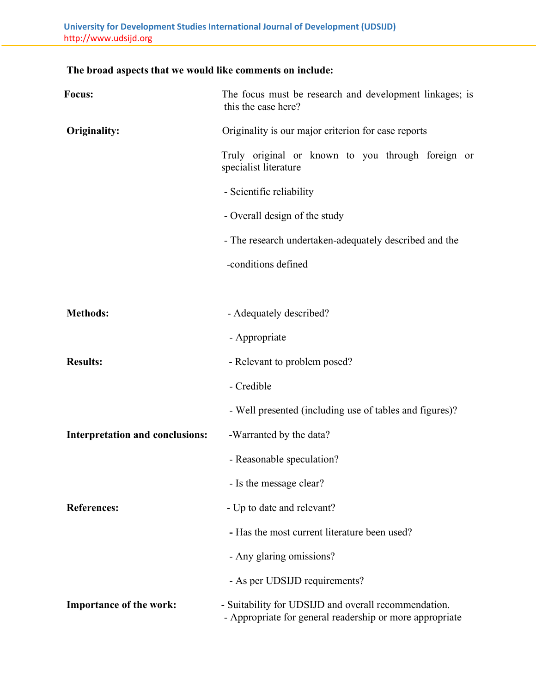# **The broad aspects that we would like comments on include:**

| Focus:                                 | The focus must be research and development linkages; is<br>this the case here?                                   |
|----------------------------------------|------------------------------------------------------------------------------------------------------------------|
| Originality:                           | Originality is our major criterion for case reports                                                              |
|                                        | Truly original or known to you through foreign or<br>specialist literature                                       |
|                                        | - Scientific reliability                                                                                         |
|                                        | - Overall design of the study                                                                                    |
|                                        | - The research undertaken-adequately described and the                                                           |
|                                        | -conditions defined                                                                                              |
|                                        |                                                                                                                  |
| <b>Methods:</b>                        | - Adequately described?                                                                                          |
|                                        | - Appropriate                                                                                                    |
| <b>Results:</b>                        | - Relevant to problem posed?                                                                                     |
|                                        | - Credible                                                                                                       |
|                                        | - Well presented (including use of tables and figures)?                                                          |
| <b>Interpretation and conclusions:</b> | -Warranted by the data?                                                                                          |
|                                        | - Reasonable speculation?                                                                                        |
|                                        | - Is the message clear?                                                                                          |
| <b>References:</b>                     | - Up to date and relevant?                                                                                       |
|                                        | - Has the most current literature been used?                                                                     |
|                                        | - Any glaring omissions?                                                                                         |
|                                        | - As per UDSIJD requirements?                                                                                    |
| Importance of the work:                | - Suitability for UDSIJD and overall recommendation.<br>- Appropriate for general readership or more appropriate |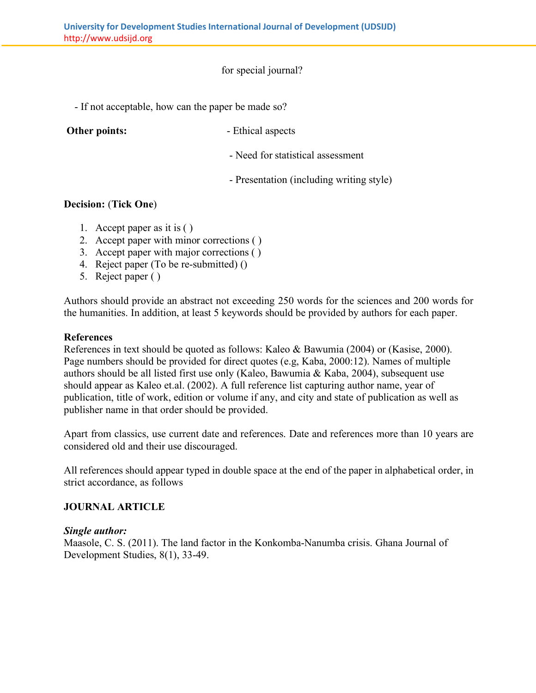for special journal?

- If not acceptable, how can the paper be made so?

**Other points:**  $\qquad \qquad$ - Ethical aspects

- Need for statistical assessment

- Presentation (including writing style)

# **Decision:** (**Tick One**)

- 1. Accept paper as it is ( )
- 2. Accept paper with minor corrections ( )
- 3. Accept paper with major corrections ( )
- 4. Reject paper (To be re-submitted) ()
- 5. Reject paper ( )

Authors should provide an abstract not exceeding 250 words for the sciences and 200 words for the humanities. In addition, at least 5 keywords should be provided by authors for each paper.

### **References**

References in text should be quoted as follows: Kaleo & Bawumia (2004) or (Kasise, 2000). Page numbers should be provided for direct quotes (e.g, Kaba, 2000:12). Names of multiple authors should be all listed first use only (Kaleo, Bawumia & Kaba, 2004), subsequent use should appear as Kaleo et.al. (2002). A full reference list capturing author name, year of publication, title of work, edition or volume if any, and city and state of publication as well as publisher name in that order should be provided.

Apart from classics, use current date and references. Date and references more than 10 years are considered old and their use discouraged.

All references should appear typed in double space at the end of the paper in alphabetical order, in strict accordance, as follows

# **JOURNAL ARTICLE**

#### *Single author:*

Maasole, C. S. (2011). The land factor in the Konkomba-Nanumba crisis. Ghana Journal of Development Studies, 8(1), 33-49.